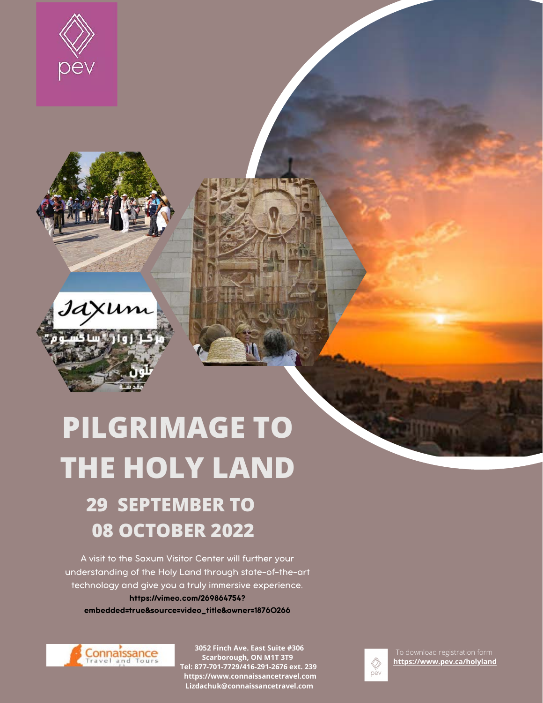





# **PILGRIMAGE TO THE HOLY LAND**

# **29 SEPTEMBER TO 08 OCTOBER 2022**

A visit to the Saxum Visitor Center will further your understanding of the Holy Land through state-of-the-art technology and give you a truly immersive experience. https://vimeo.com/269864754? embedded=true&source=video\_title&owner=18760266



**3052 Finch Ave. East Suite #306 Scarborough, ON M1T 3T9 Tel: 877-701-7729/416-291-2676 ext. 239 https://www.connaissancetravel.com Lizdachuk@connaissancetravel.com**



**<https://www.pev.ca/holyland>**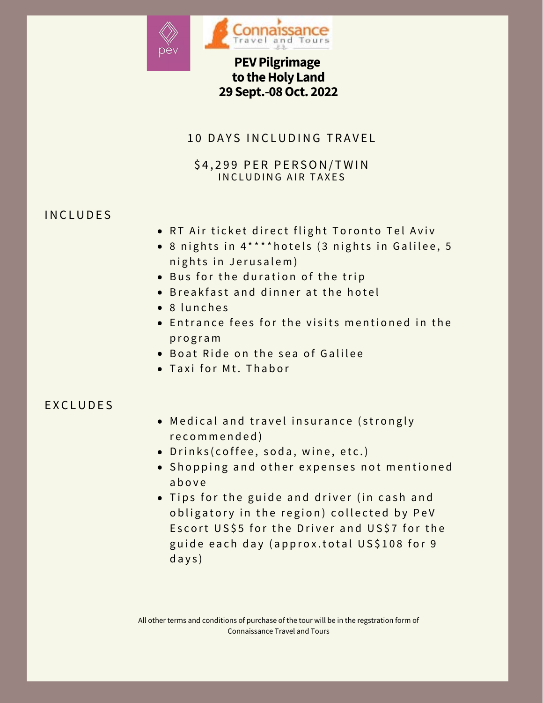

# **PEV Pilgrimage to the Holy Land 29 Sept.-08 Oct. 2022**

### 10 DAYS INCLUDING TRAVEL

#### \$4,299 PER PERSON/TWIN INCLUDING AIR TAXES

## **INCLUDES**

- RT Air ticket direct flight Toronto Tel Aviv
- 8 nights in 4\*\*\*\* hotels (3 nights in Galilee, 5 nights in Jerusalem)
- Bus for the duration of the trip
- **B** reakfast and dinner at the hotel
- $\bullet$  8 lunches
- **Entrance fees for the visits mentioned in the** p r o g r a m
- . Boat Ride on the sea of Galilee
- Taxi for Mt. Thabor

#### E X C L U D E S

- Medical and travel insurance (strongly r e c o m m e n d e d )
- Drinks (coffee, soda, wine, etc.)
- Shopping and other expenses not mentioned a b o v e
- Tips for the guide and driver (in cash and obligatory in the region) collected by PeV Escort US\$5 for the Driver and US\$7 for the guide each day (approx.total US\$108 for 9 d a y s )

All other terms and conditions of purchase of the tour will be in the regstration form of Connaissance Travel and Tours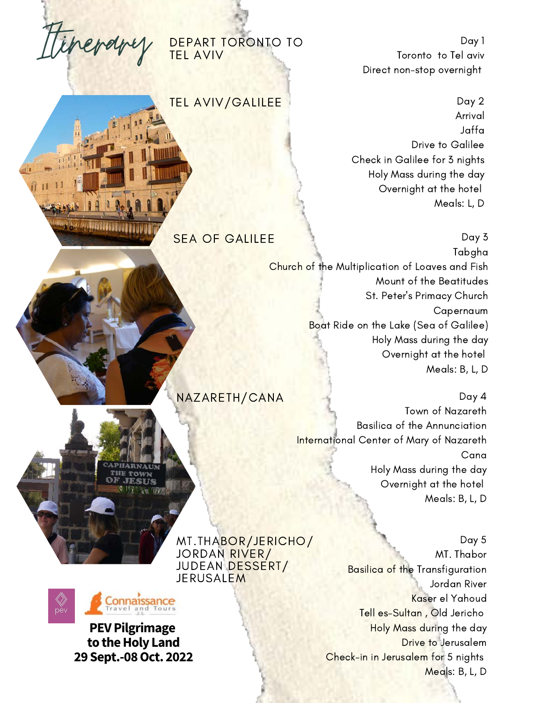

*<u>Presidentification in the second second second second second second second second second second second second second second second second second second second second second second second second second second second seco*</u>

DEPART TORONTO TO TEL AVIV

TEL AVIV/GALILEE

Day 1 Toronto to Tel aviv Direct non-stop overnight

Day 2 Arrival Jaffa Drive to Galilee Check in Galilee for 3 nights Holy Mass during the day Overnight at the hotel Meals: L, D

SEA OF GALILEE **Day 3** Tabgha Church of the Multiplication of Loaves and Fish Mount of the Beatitudes St. Peter's Primacy Church Capernaum Boat Ride on the Lake (Sea of Galilee) Holy Mass during the day Overnight at the hotel Meals: B, L, D

> Day 4 Town of Nazareth Basilica of the Annunciation International Center of Mary of Nazareth Cana Holy Mass during the day Overnight at the hotel Meals: B, L, D

MT.THABOR/JERICHO/ JORDAN RIVER/ JUDEAN DESSERT/ **JERUSALEM** 

NAZARETH/CANA



**PEV Pilgrimage to the Holy Land 29 Sept.-08 Oct. 2022**

Day 5 MT. Thabor Basilica of the Transfiguration Jordan River Kaser el Yahoud Tell es-Sultan , Old Jericho Holy Mass during the day Drive to Jerusalem Check-in in Jerusalem for 5 nights Meals: B, L, D